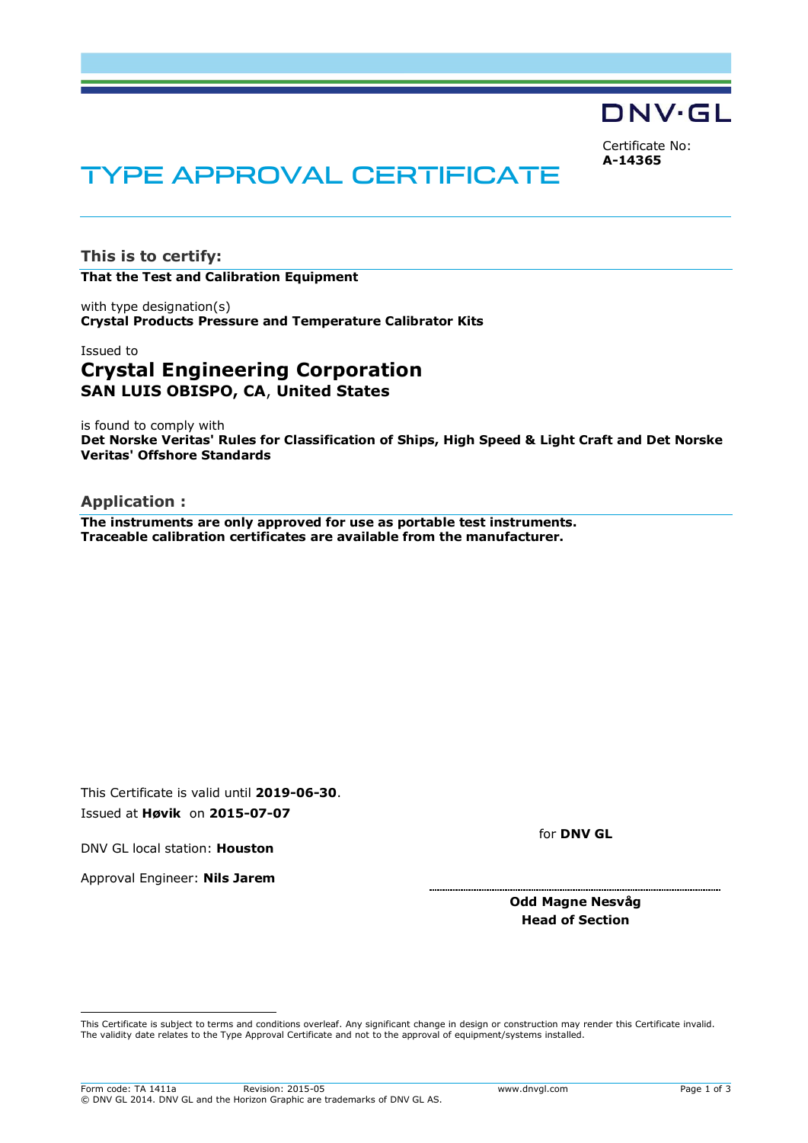DNV·GL

Certificate No: **A-14365**

# TYPE APPROVAL CERTIFICATE

**This is to certify: That the Test and Calibration Equipment**

with type designation(s) **Crystal Products Pressure and Temperature Calibrator Kits**

# Issued to **Crystal Engineering Corporation SAN LUIS OBISPO, CA**, **United States**

is found to comply with **Det Norske Veritas' Rules for Classification of Ships, High Speed & Light Craft and Det Norske Veritas' Offshore Standards**

## **Application :**

**The instruments are only approved for use as portable test instruments. Traceable calibration certificates are available from the manufacturer.**

This Certificate is valid until **2019-06-30**. Issued at **Høvik** on **2015-07-07**

DNV GL local station: **Houston**

Approval Engineer: **Nils Jarem**

ı

for **DNV GL**

#### **Odd Magne Nesvåg Head of Section**

This Certificate is subject to terms and conditions overleaf. Any significant change in design or construction may render this Certificate invalid. The validity date relates to the Type Approval Certificate and not to the approval of equipment/systems installed.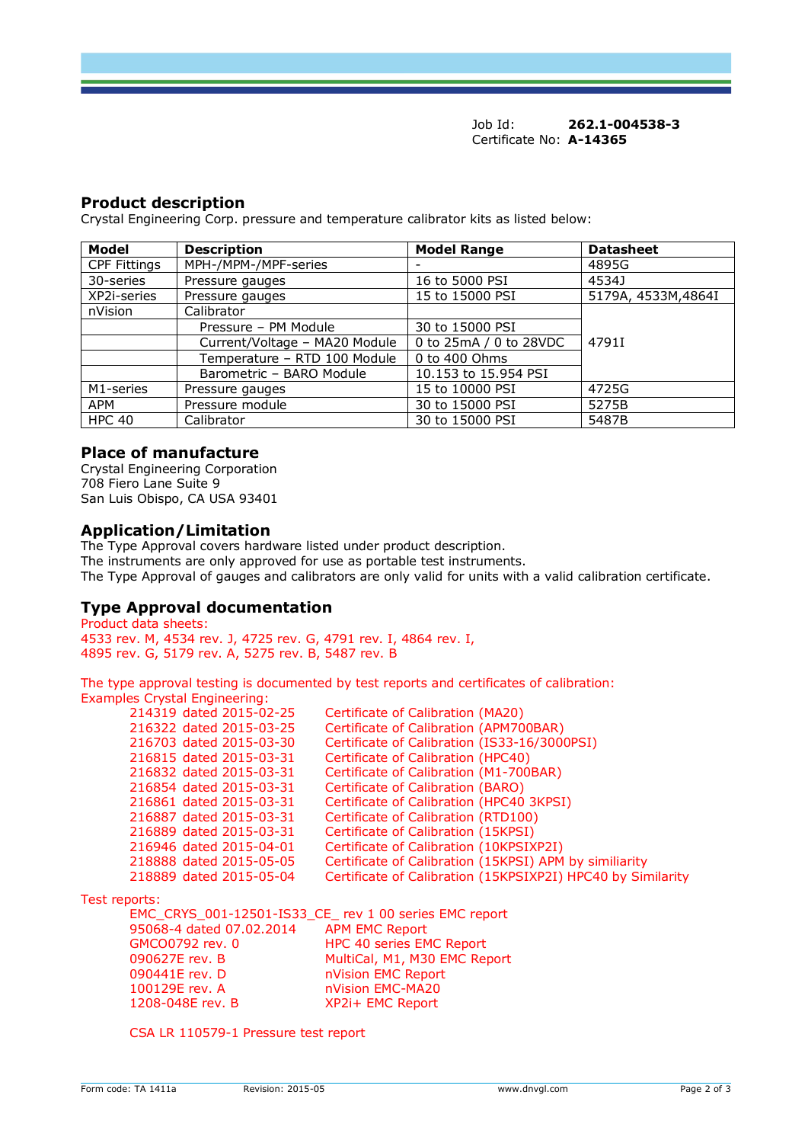Job Id: **262.1-004538-3** Certificate No: **A-14365**

## **Product description**

Crystal Engineering Corp. pressure and temperature calibrator kits as listed below:

| <b>Model</b>        | <b>Description</b>            | <b>Model Range</b>       | <b>Datasheet</b>    |
|---------------------|-------------------------------|--------------------------|---------------------|
| <b>CPF Fittings</b> | MPH-/MPM-/MPF-series          | $\overline{\phantom{0}}$ | 4895G               |
| 30-series           | Pressure gauges               | 16 to 5000 PSI           | 4534J               |
| XP2i-series         | Pressure gauges               | 15 to 15000 PSI          | 5179A, 4533M, 4864I |
| nVision             | Calibrator                    |                          |                     |
|                     | Pressure - PM Module          | 30 to 15000 PSI          |                     |
|                     | Current/Voltage - MA20 Module | 0 to 25mA / 0 to 28VDC   | 47911               |
|                     | Temperature - RTD 100 Module  | 0 to 400 Ohms            |                     |
|                     | Barometric - BARO Module      | 10.153 to 15.954 PSI     |                     |
| M1-series           | Pressure gauges               | 15 to 10000 PSI          | 4725G               |
| APM                 | Pressure module               | 30 to 15000 PSI          | 5275B               |
| <b>HPC 40</b>       | Calibrator                    | 30 to 15000 PSI          | 5487B               |

#### **Place of manufacture**

Crystal Engineering Corporation 708 Fiero Lane Suite 9 San Luis Obispo, CA USA 93401

#### **Application/Limitation**

The Type Approval covers hardware listed under product description. The instruments are only approved for use as portable test instruments. The Type Approval of gauges and calibrators are only valid for units with a valid calibration certificate.

#### **Type Approval documentation**

Product data sheets: 4533 rev. M, 4534 rev. J, 4725 rev. G, 4791 rev. I, 4864 rev. I, 4895 rev. G, 5179 rev. A, 5275 rev. B, 5487 rev. B

The type approval testing is documented by test reports and certificates of calibration: Examples Crystal Engineering:

| 214319 dated 2015-02-25 | Certificate of Calibration (MA20)                           |
|-------------------------|-------------------------------------------------------------|
| 216322 dated 2015-03-25 | Certificate of Calibration (APM700BAR)                      |
| 216703 dated 2015-03-30 | Certificate of Calibration (IS33-16/3000PSI)                |
| 216815 dated 2015-03-31 | Certificate of Calibration (HPC40)                          |
| 216832 dated 2015-03-31 | Certificate of Calibration (M1-700BAR)                      |
| 216854 dated 2015-03-31 | Certificate of Calibration (BARO)                           |
| 216861 dated 2015-03-31 | Certificate of Calibration (HPC40 3KPSI)                    |
| 216887 dated 2015-03-31 | Certificate of Calibration (RTD100)                         |
| 216889 dated 2015-03-31 | Certificate of Calibration (15KPSI)                         |
| 216946 dated 2015-04-01 | Certificate of Calibration (10KPSIXP2I)                     |
| 218888 dated 2015-05-05 | Certificate of Calibration (15KPSI) APM by similiarity      |
| 218889 dated 2015-05-04 | Certificate of Calibration (15KPSIXP2I) HPC40 by Similarity |
|                         |                                                             |

Test reports:

EMC\_CRYS\_001-12501-IS33\_CE\_ rev 1 00 series EMC report 95068-4 dated 07.02.2014 APM EMC Report GMCO0792 rev. 0 HPC 40 series EMC Report 090627E rev. B MultiCal, M1, M30 EMC Report 090441E rev. D nVision EMC Report nVision EMC-MA20 1208-048E rev. B XP2i+ EMC Report

CSA LR 110579-1 Pressure test report